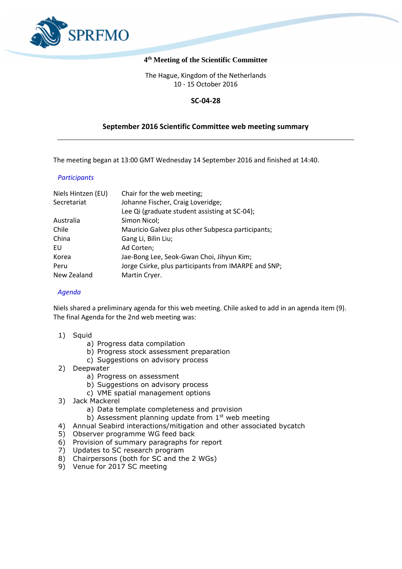

# **4 th Meeting of the Scientific Committee**

The Hague, Kingdom of the Netherlands 10 - 15 October 2016

# **SC-04-28**

# **September 2016 Scientific Committee web meeting summary**

The meeting began at 13:00 GMT Wednesday 14 September 2016 and finished at 14:40.

## *Participants*

| Niels Hintzen (EU) | Chair for the web meeting;                           |
|--------------------|------------------------------------------------------|
| Secretariat        | Johanne Fischer, Craig Loveridge;                    |
|                    | Lee Qi (graduate student assisting at SC-04);        |
| Australia          | Simon Nicol;                                         |
| Chile              | Mauricio Galvez plus other Subpesca participants;    |
| China              | Gang Li, Bilin Liu;                                  |
| EU                 | Ad Corten;                                           |
| Korea              | Jae-Bong Lee, Seok-Gwan Choi, Jihyun Kim;            |
| Peru               | Jorge Csirke, plus participants from IMARPE and SNP; |
| New Zealand        | Martin Cryer.                                        |

## *Agenda*

Niels shared a preliminary agenda for this web meeting. Chile asked to add in an agenda item (9). The final Agenda for the 2nd web meeting was:

- 1) Squid
	- a) Progress data compilation
	- b) Progress stock assessment preparation
	- c) Suggestions on advisory process
- 2) Deepwater
	- a) Progress on assessment
		- b) Suggestions on advisory process
		- c) VME spatial management options
- 3) Jack Mackerel
	- a) Data template completeness and provision
	- b) Assessment planning update from  $1<sup>st</sup>$  web meeting
- 4) Annual Seabird interactions/mitigation and other associated bycatch
- 5) Observer programme WG feed back
- 6) Provision of summary paragraphs for report
- 7) Updates to SC research program
- 8) Chairpersons (both for SC and the 2 WGs)
- 9) Venue for 2017 SC meeting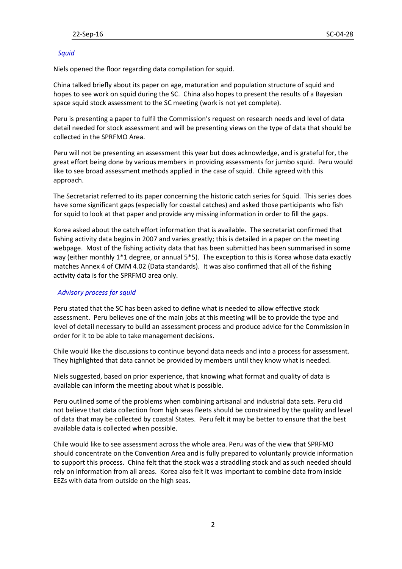## *Squid*

Niels opened the floor regarding data compilation for squid.

China talked briefly about its paper on age, maturation and population structure of squid and hopes to see work on squid during the SC. China also hopes to present the results of a Bayesian space squid stock assessment to the SC meeting (work is not yet complete).

Peru is presenting a paper to fulfil the Commission's request on research needs and level of data detail needed for stock assessment and will be presenting views on the type of data that should be collected in the SPRFMO Area.

Peru will not be presenting an assessment this year but does acknowledge, and is grateful for, the great effort being done by various members in providing assessments for jumbo squid. Peru would like to see broad assessment methods applied in the case of squid. Chile agreed with this approach.

The Secretariat referred to its paper concerning the historic catch series for Squid. This series does have some significant gaps (especially for coastal catches) and asked those participants who fish for squid to look at that paper and provide any missing information in order to fill the gaps.

Korea asked about the catch effort information that is available. The secretariat confirmed that fishing activity data begins in 2007 and varies greatly; this is detailed in a paper on the meeting webpage. Most of the fishing activity data that has been submitted has been summarised in some way (either monthly 1\*1 degree, or annual 5\*5). The exception to this is Korea whose data exactly matches Annex 4 of CMM 4.02 (Data standards). It was also confirmed that all of the fishing activity data is for the SPRFMO area only.

## *Advisory process for squid*

Peru stated that the SC has been asked to define what is needed to allow effective stock assessment. Peru believes one of the main jobs at this meeting will be to provide the type and level of detail necessary to build an assessment process and produce advice for the Commission in order for it to be able to take management decisions.

Chile would like the discussions to continue beyond data needs and into a process for assessment. They highlighted that data cannot be provided by members until they know what is needed.

Niels suggested, based on prior experience, that knowing what format and quality of data is available can inform the meeting about what is possible.

Peru outlined some of the problems when combining artisanal and industrial data sets. Peru did not believe that data collection from high seas fleets should be constrained by the quality and level of data that may be collected by coastal States. Peru felt it may be better to ensure that the best available data is collected when possible.

Chile would like to see assessment across the whole area. Peru was of the view that SPRFMO should concentrate on the Convention Area and is fully prepared to voluntarily provide information to support this process. China felt that the stock was a straddling stock and as such needed should rely on information from all areas. Korea also felt it was important to combine data from inside EEZs with data from outside on the high seas.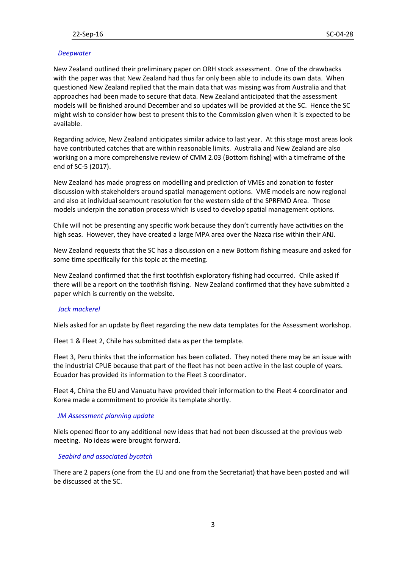## *Deepwater*

New Zealand outlined their preliminary paper on ORH stock assessment. One of the drawbacks with the paper was that New Zealand had thus far only been able to include its own data. When questioned New Zealand replied that the main data that was missing was from Australia and that approaches had been made to secure that data. New Zealand anticipated that the assessment models will be finished around December and so updates will be provided at the SC. Hence the SC might wish to consider how best to present this to the Commission given when it is expected to be available.

Regarding advice, New Zealand anticipates similar advice to last year. At this stage most areas look have contributed catches that are within reasonable limits. Australia and New Zealand are also working on a more comprehensive review of CMM 2.03 (Bottom fishing) with a timeframe of the end of SC-5 (2017).

New Zealand has made progress on modelling and prediction of VMEs and zonation to foster discussion with stakeholders around spatial management options. VME models are now regional and also at individual seamount resolution for the western side of the SPRFMO Area. Those models underpin the zonation process which is used to develop spatial management options.

Chile will not be presenting any specific work because they don't currently have activities on the high seas. However, they have created a large MPA area over the Nazca rise within their ANJ.

New Zealand requests that the SC has a discussion on a new Bottom fishing measure and asked for some time specifically for this topic at the meeting.

New Zealand confirmed that the first toothfish exploratory fishing had occurred. Chile asked if there will be a report on the toothfish fishing. New Zealand confirmed that they have submitted a paper which is currently on the website.

### *Jack mackerel*

Niels asked for an update by fleet regarding the new data templates for the Assessment workshop.

Fleet 1 & Fleet 2, Chile has submitted data as per the template.

Fleet 3, Peru thinks that the information has been collated. They noted there may be an issue with the industrial CPUE because that part of the fleet has not been active in the last couple of years. Ecuador has provided its information to the Fleet 3 coordinator.

Fleet 4, China the EU and Vanuatu have provided their information to the Fleet 4 coordinator and Korea made a commitment to provide its template shortly.

#### *JM Assessment planning update*

Niels opened floor to any additional new ideas that had not been discussed at the previous web meeting. No ideas were brought forward.

#### *Seabird and associated bycatch*

There are 2 papers (one from the EU and one from the Secretariat) that have been posted and will be discussed at the SC.